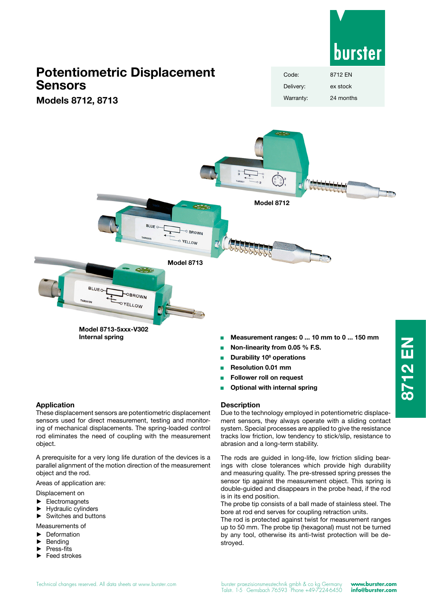

# **Potentiometric Displacement Sensors**

**Models 8712, 8713**





- <sup>Q</sup> **Non-linearity from 0.05 % F.S.**
- **E** Durability 10<sup>8</sup> operations
- <sup>Q</sup> **Resolution 0.01 mm**
- <sup>Q</sup> **Follower roll on request**
- <sup>Q</sup> **Optional with internal spring**

#### **Description**

Due to the technology employed in potentiometric displacement sensors, they always operate with a sliding contact system. Special processes are applied to give the resistance tracks low friction, low tendency to stick/slip, resistance to abrasion and a long-term stability.

The rods are guided in long-life, low friction sliding bearings with close tolerances which provide high durability and measuring quality. The pre-stressed spring presses the sensor tip against the measurement object. This spring is double-guided and disappears in the probe head, if the rod is in its end position.

The probe tip consists of a ball made of stainless steel. The bore at rod end serves for coupling retraction units.

The rod is protected against twist for measurement ranges up to 50 mm. The probe tip (hexagonal) must not be turned by any tool, otherwise its anti-twist protection will be destroyed.

These displacement sensors are potentiometric displacement sensors used for direct measurement, testing and monitoring of mechanical displacements. The spring-loaded control rod eliminates the need of coupling with the measurement object.

A prerequisite for a very long life duration of the devices is a parallel alignment of the motion direction of the measurement object and the rod.

Areas of application are:

Displacement on

- **Electromagnets**
- ► Hydraulic cylinders
- Switches and buttons
- Measurements of
- ► Deformation
- **Bending**
- ► Press-fits
- ► Feed strokes